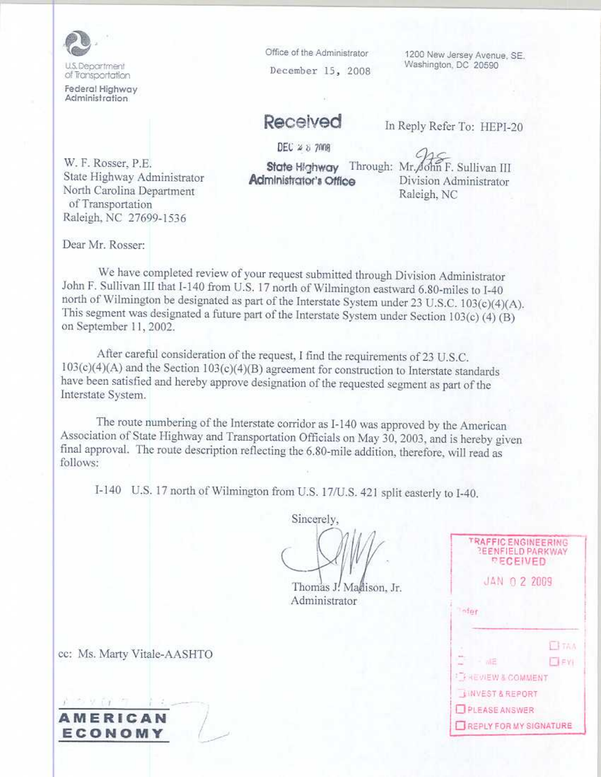

I.S. Department of Transportation

Federal Highway Administration

Office of the Administrator December 15, 2008

1200 New Jersey Avenue, SE. Washington, DC 20590

## Received

DEC  $25.7008$ 

State Highway Through: Mr. John F. Sullivan III Administrator's Office

In Reply Refer To: HEPI-20

W. F. Rosser, P.E. State Highway Administrator North Carolina Department of Transportation Raleigh, NC 27699-1536

Division Administrator Raleigh, NC

Dear Mr. Rosser:

We have completed review of your request submitted through Division Administrator John F. Sullivan III that I-140 from U.S. 17 north of Wilmington eastward 6.80-miles to I-40 north of Wilmington be designated as part of the Interstate System under 23 U.S.C. 103(c)(4)(A). This segment was designated a future part of the Interstate System under Section 103(c) (4) (B) on September 11, 2002.

After careful consideration of the request, I find the requirements of 23 U.S.C.  $103(c)(4)(A)$  and the Section  $103(c)(4)(B)$  agreement for construction to Interstate standards have been satisfied and hereby approve designation of the requested segment as part of the Interstate System.

The route numbering of the Interstate corridor as I-140 was approved by the American Association of State Highway and Transportation Officials on May 30, 2003, and is hereby given final approval. The route description reflecting the 6.80-mile addition, therefore, will read as follows:

I-140 U.S. 17 north of Wilmington from U.S. 17/U.S. 421 split easterly to I-40.

Sincerely,

Thomas J. Madison, Jr. Administrator

| <b>TRAFFICENGINEERING</b><br><b>REENFIELD PARKWAY</b><br><b>PECEIVED</b> |              |  |
|--------------------------------------------------------------------------|--------------|--|
| JAN 0 2 2009                                                             |              |  |
| nfer                                                                     |              |  |
|                                                                          | ELTAA        |  |
| <b>MB</b>                                                                | <b>ELEY!</b> |  |
| <b>I FREVIEW &amp; COMMENT</b>                                           |              |  |
| <b>NINVEST &amp; REPORT</b>                                              |              |  |
| PLEASE ANSWER                                                            |              |  |
| REPLY FOR MY SIGNATURE                                                   |              |  |

cc: Ms. Marty Vitale-AASHTO

**AMERICAN** ECONOMY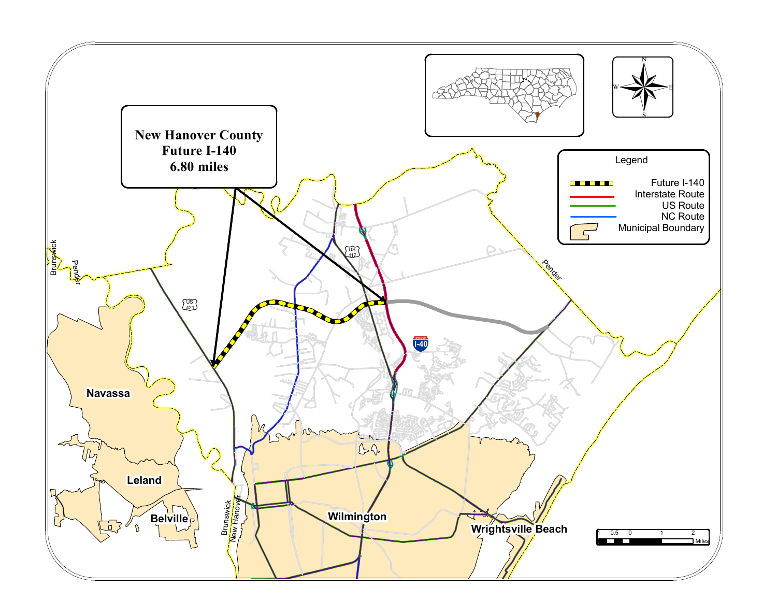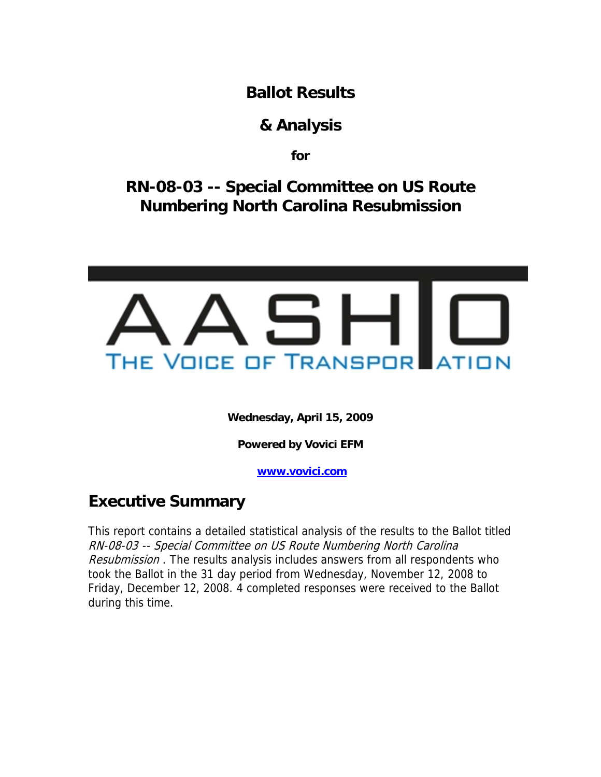**Ballot Results** 

## **& Analysis**

**for** 

**RN-08-03 -- Special Committee on US Route Numbering North Carolina Resubmission** 



**Wednesday, April 15, 2009** 

**Powered by Vovici EFM** 

**[www.vovici.com](http://www.vovici.com/)** 

# **Executive Summary**

This report contains a detailed statistical analysis of the results to the Ballot titled RN-08-03 -- Special Committee on US Route Numbering North Carolina Resubmission. The results analysis includes answers from all respondents who took the Ballot in the 31 day period from Wednesday, November 12, 2008 to Friday, December 12, 2008. 4 completed responses were received to the Ballot during this time.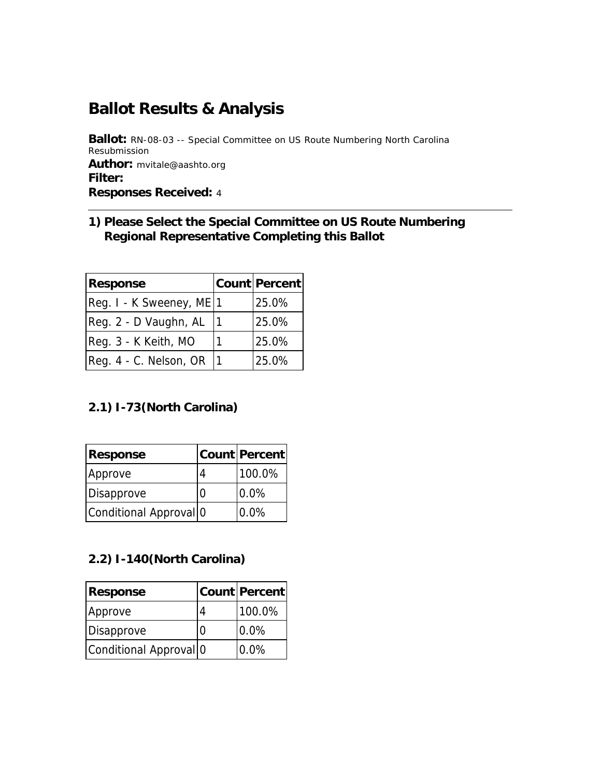# **Ballot Results & Analysis**

**Ballot:** RN-08-03 -- Special Committee on US Route Numbering North Carolina Resubmission **Author:** mvitale@aashto.org **Filter: Responses Received:** 4

#### **1) Please Select the Special Committee on US Route Numbering Regional Representative Completing this Ballot**

| <b>Response</b>          | <b>Count Percent</b> |
|--------------------------|----------------------|
| Reg. I - K Sweeney, ME 1 | 25.0%                |
| Reg. 2 - D Vaughn, AL    | 25.0%                |
| Reg. 3 - K Keith, MO     | 25.0%                |
| Reg. 4 - C. Nelson, OR   | 25.0%                |

#### **2.1) I-73(North Carolina)**

| Response               | <b>Count Percent</b> |
|------------------------|----------------------|
| Approve                | 100.0%               |
| Disapprove             | 0.0%                 |
| Conditional Approval 0 | 0.0%                 |

#### **2.2) I-140(North Carolina)**

| Response                          | Count   Percent |
|-----------------------------------|-----------------|
| Approve                           | 100.0%          |
| Disapprove                        | 0.0%            |
| Conditional Approval <sup>o</sup> | 0.0%            |